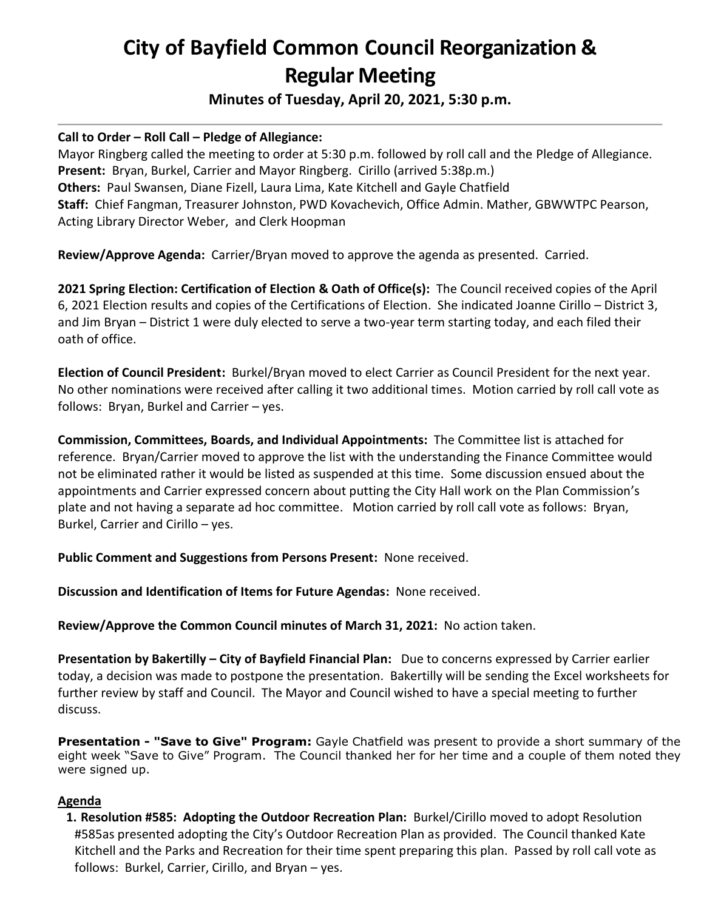# **City of Bayfield Common Council Reorganization & Regular Meeting**

**Minutes of Tuesday, April 20, 2021, 5:30 p.m.**

## **Call to Order – Roll Call – Pledge of Allegiance:**

Mayor Ringberg called the meeting to order at 5:30 p.m. followed by roll call and the Pledge of Allegiance. **Present:** Bryan, Burkel, Carrier and Mayor Ringberg. Cirillo (arrived 5:38p.m.) **Others:** Paul Swansen, Diane Fizell, Laura Lima, Kate Kitchell and Gayle Chatfield **Staff:** Chief Fangman, Treasurer Johnston, PWD Kovachevich, Office Admin. Mather, GBWWTPC Pearson, Acting Library Director Weber, and Clerk Hoopman

**Review/Approve Agenda:** Carrier/Bryan moved to approve the agenda as presented. Carried.

**2021 Spring Election: Certification of Election & Oath of Office(s):** The Council received copies of the April 6, 2021 Election results and copies of the Certifications of Election. She indicated Joanne Cirillo – District 3, and Jim Bryan – District 1 were duly elected to serve a two-year term starting today, and each filed their oath of office.

**Election of Council President:** Burkel/Bryan moved to elect Carrier as Council President for the next year. No other nominations were received after calling it two additional times. Motion carried by roll call vote as follows: Bryan, Burkel and Carrier – yes.

**Commission, Committees, Boards, and Individual Appointments:** The Committee list is attached for reference. Bryan/Carrier moved to approve the list with the understanding the Finance Committee would not be eliminated rather it would be listed as suspended at this time. Some discussion ensued about the appointments and Carrier expressed concern about putting the City Hall work on the Plan Commission's plate and not having a separate ad hoc committee. Motion carried by roll call vote as follows: Bryan, Burkel, Carrier and Cirillo – yes.

**Public Comment and Suggestions from Persons Present:** None received.

**Discussion and Identification of Items for Future Agendas:** None received.

**Review/Approve the Common Council minutes of March 31, 2021:** No action taken.

**Presentation by Bakertilly – City of Bayfield Financial Plan:** Due to concerns expressed by Carrier earlier today, a decision was made to postpone the presentation. Bakertilly will be sending the Excel worksheets for further review by staff and Council. The Mayor and Council wished to have a special meeting to further discuss.

**Presentation - "Save to Give" Program:** Gayle Chatfield was present to provide a short summary of the eight week "Save to Give" Program. The Council thanked her for her time and a couple of them noted they were signed up.

#### **Agenda**

**1. Resolution #585: Adopting the Outdoor Recreation Plan:** Burkel/Cirillo moved to adopt Resolution #585as presented adopting the City's Outdoor Recreation Plan as provided. The Council thanked Kate Kitchell and the Parks and Recreation for their time spent preparing this plan. Passed by roll call vote as follows: Burkel, Carrier, Cirillo, and Bryan – yes.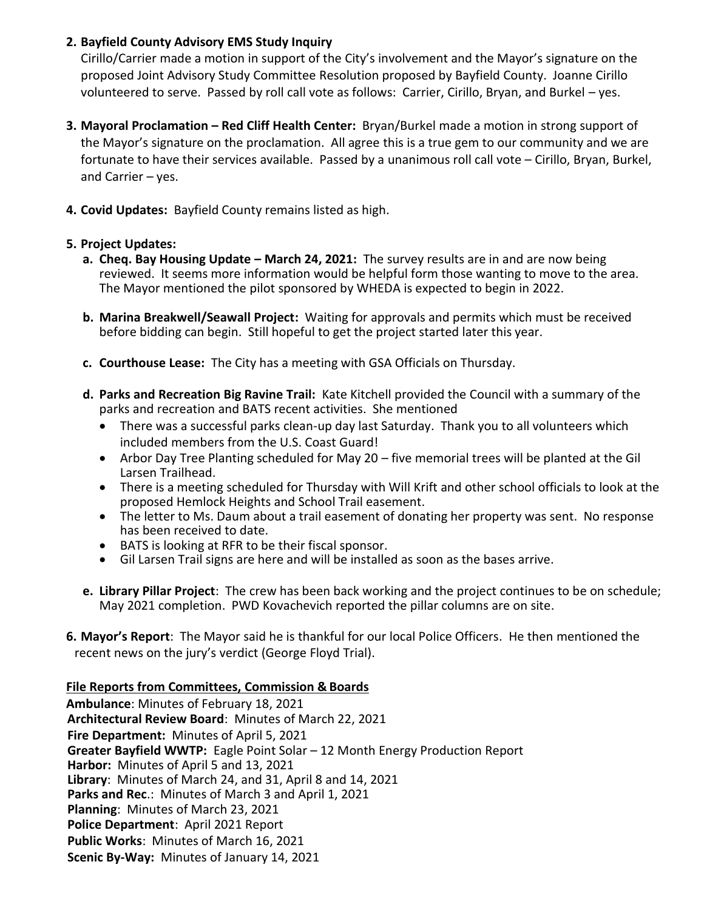# **2. Bayfield County Advisory EMS Study Inquiry**

 Cirillo/Carrier made a motion in support of the City's involvement and the Mayor's signature on the proposed Joint Advisory Study Committee Resolution proposed by Bayfield County. Joanne Cirillo volunteered to serve. Passed by roll call vote as follows: Carrier, Cirillo, Bryan, and Burkel – yes.

- **3. Mayoral Proclamation – Red Cliff Health Center:** Bryan/Burkel made a motion in strong support of the Mayor's signature on the proclamation. All agree this is a true gem to our community and we are fortunate to have their services available. Passed by a unanimous roll call vote – Cirillo, Bryan, Burkel, and Carrier – yes.
- **4. Covid Updates:** Bayfield County remains listed as high.

## **5. Project Updates:**

- **a. Cheq. Bay Housing Update March 24, 2021:** The survey results are in and are now being reviewed. It seems more information would be helpful form those wanting to move to the area. The Mayor mentioned the pilot sponsored by WHEDA is expected to begin in 2022.
- **b. Marina Breakwell/Seawall Project:** Waiting for approvals and permits which must be received before bidding can begin. Still hopeful to get the project started later this year.
- **c. Courthouse Lease:** The City has a meeting with GSA Officials on Thursday.
- **d. Parks and Recreation Big Ravine Trail:** Kate Kitchell provided the Council with a summary of the parks and recreation and BATS recent activities. She mentioned
	- There was a successful parks clean-up day last Saturday. Thank you to all volunteers which included members from the U.S. Coast Guard!
	- Arbor Day Tree Planting scheduled for May 20 five memorial trees will be planted at the Gil Larsen Trailhead.
	- There is a meeting scheduled for Thursday with Will Krift and other school officials to look at the proposed Hemlock Heights and School Trail easement.
	- The letter to Ms. Daum about a trail easement of donating her property was sent. No response has been received to date.
	- BATS is looking at RFR to be their fiscal sponsor.
	- Gil Larsen Trail signs are here and will be installed as soon as the bases arrive.
- **e. Library Pillar Project**: The crew has been back working and the project continues to be on schedule; May 2021 completion. PWD Kovachevich reported the pillar columns are on site.
- **6. Mayor's Report**: The Mayor said he is thankful for our local Police Officers. He then mentioned the recent news on the jury's verdict (George Floyd Trial).

## **File Reports from Committees, Commission & Boards**

**Ambulance**: Minutes of February 18, 2021  **Architectural Review Board**: Minutes of March 22, 2021  **Fire Department:** Minutes of April 5, 2021  **Greater Bayfield WWTP:** Eagle Point Solar – 12 Month Energy Production Report  **Harbor:** Minutes of April 5 and 13, 2021  **Library**: Minutes of March 24, and 31, April 8 and 14, 2021  **Parks and Rec**.: Minutes of March 3 and April 1, 2021  **Planning**: Minutes of March 23, 2021  **Police Department**: April 2021 Report  **Public Works**: Minutes of March 16, 2021  **Scenic By-Way:** Minutes of January 14, 2021